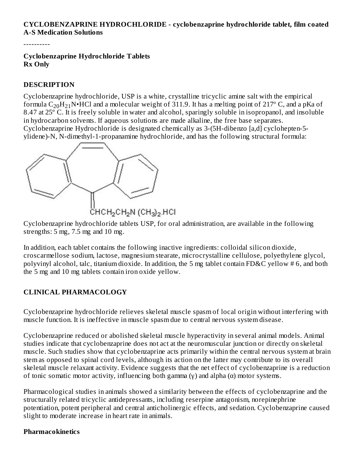### **CYCLOBENZAPRINE HYDROCHLORIDE - cyclobenzaprine hydrochloride tablet, film coated A-S Medication Solutions**

----------

**Cyclobenzaprine Hydrochloride Tablets Rx Only**

### **DESCRIPTION**

Cyclobenzaprine hydrochloride, USP is a white, crystalline tricyclic amine salt with the empirical formula  $\rm{C_{20}H_{21}N\bullet}$ HCl and a molecular weight of 311.9. It has a melting point of 217° C, and a pKa of 8.47 at 25º C. It is freely soluble in water and alcohol, sparingly soluble in isopropanol, and insoluble in hydrocarbon solvents. If aqueous solutions are made alkaline, the free base separates. Cyclobenzaprine Hydrochloride is designated chemically as 3-(5H-dibenzo [a,d] cyclohepten-5 ylidene)-N, N-dimethyl-1-propanamine hydrochloride, and has the following structural formula:



Cyclobenzaprine hydrochloride tablets USP, for oral administration, are available in the following strengths: 5 mg, 7.5 mg and 10 mg.

In addition, each tablet contains the following inactive ingredients: colloidal silicon dioxide, croscarmellose sodium, lactose, magnesium stearate, microcrystalline cellulose, polyethylene glycol, polyvinyl alcohol, talc, titanium dioxide. In addition, the 5 mg tablet contain FD&C yellow # 6, and both the 5 mg and 10 mg tablets contain iron oxide yellow.

### **CLINICAL PHARMACOLOGY**

Cyclobenzaprine hydrochloride relieves skeletal muscle spasm of local origin without interfering with muscle function. It is ineffective in muscle spasm due to central nervous system disease.

Cyclobenzaprine reduced or abolished skeletal muscle hyperactivity in several animal models. Animal studies indicate that cyclobenzaprine does not act at the neuromuscular junction or directly on skeletal muscle. Such studies show that cyclobenzaprine acts primarily within the central nervous system at brain stem as opposed to spinal cord levels, although its action on the latter may contribute to its overall skeletal muscle relaxant activity. Evidence suggests that the net effect of cyclobenzaprine is a reduction of tonic somatic motor activity, influencing both gamma (γ) and alpha ( $α$ ) motor systems.

Pharmacological studies in animals showed a similarity between the effects of cyclobenzaprine and the structurally related tricyclic antidepressants, including reserpine antagonism, norepinephrine potentiation, potent peripheral and central anticholinergic effects, and sedation. Cyclobenzaprine caused slight to moderate increase in heart rate in animals.

### **Pharmacokinetics**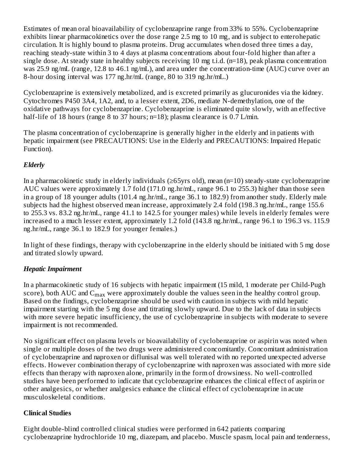Estimates of mean oral bioavailability of cyclobenzaprine range from 33% to 55%. Cyclobenzaprine exhibits linear pharmacokinetics over the dose range 2.5 mg to 10 mg, and is subject to enterohepatic circulation. It is highly bound to plasma proteins. Drug accumulates when dosed three times a day, reaching steady-state within 3 to 4 days at plasma concentrations about four-fold higher than after a single dose. At steady state in healthy subjects receiving 10 mg t.i.d. (n=18), peak plasma concentration was 25.9 ng/mL (range, 12.8 to 46.1 ng/mL), and area under the concentration-time (AUC) curve over an 8-hour dosing interval was 177 ng.hr/mL (range, 80 to 319 ng.hr/mL.)

Cyclobenzaprine is extensively metabolized, and is excreted primarily as glucuronides via the kidney. Cytochromes P450 3A4, 1A2, and, to a lesser extent, 2D6, mediate N-demethylation, one of the oxidative pathways for cyclobenzaprine. Cyclobenzaprine is eliminated quite slowly, with an effective half-life of 18 hours (range 8 to 37 hours; n=18); plasma clearance is 0.7 L/min.

The plasma concentration of cyclobenzaprine is generally higher in the elderly and in patients with hepatic impairment (see PRECAUTIONS: Use in the Elderly and PRECAUTIONS: Impaired Hepatic Function).

# *Elderly*

In a pharmacokinetic study in elderly individuals (≥65yrs old), mean (n=10) steady-state cyclobenzaprine AUC values were approximately 1.7 fold (171.0 ng.hr/mL, range 96.1 to 255.3) higher than those seen in a group of 18 younger adults (101.4 ng.hr/mL, range 36.1 to 182.9) from another study. Elderly male subjects had the highest observed mean increase, approximately 2.4 fold (198.3 ng.hr/mL, range 155.6 to 255.3 vs. 83.2 ng.hr/mL, range 41.1 to 142.5 for younger males) while levels in elderly females were increased to a much lesser extent, approximately 1.2 fold (143.8 ng.hr/mL, range 96.1 to 196.3 vs. 115.9 ng.hr/mL, range 36.1 to 182.9 for younger females.)

In light of these findings, therapy with cyclobenzaprine in the elderly should be initiated with 5 mg dose and titrated slowly upward.

# *Hepatic Impairment*

In a pharmacokinetic study of 16 subjects with hepatic impairment (15 mild, 1 moderate per Child-Pugh score), both AUC and  $\mathsf{C}_{\max}$  were approximately double the values seen in the healthy control group. Based on the findings, cyclobenzaprine should be used with caution in subjects with mild hepatic impairment starting with the 5 mg dose and titrating slowly upward. Due to the lack of data in subjects with more severe hepatic insufficiency, the use of cyclobenzaprine in subjects with moderate to severe impairment is not recommended.

No significant effect on plasma levels or bioavailability of cyclobenzaprine or aspirin was noted when single or multiple doses of the two drugs were administered concomitantly. Concomitant administration of cyclobenzaprine and naproxen or diflunisal was well tolerated with no reported unexpected adverse effects. However combination therapy of cyclobenzaprine with naproxen was associated with more side effects than therapy with naproxen alone, primarily in the form of drowsiness. No well-controlled studies have been performed to indicate that cyclobenzaprine enhances the clinical effect of aspirin or other analgesics, or whether analgesics enhance the clinical effect of cyclobenzaprine in acute musculoskeletal conditions.

# **Clinical Studies**

Eight double-blind controlled clinical studies were performed in 642 patients comparing cyclobenzaprine hydrochloride 10 mg, diazepam, and placebo. Muscle spasm, local pain and tenderness,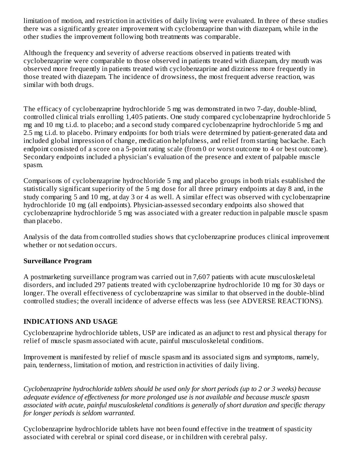limitation of motion, and restriction in activities of daily living were evaluated. In three of these studies there was a significantly greater improvement with cyclobenzaprine than with diazepam, while in the other studies the improvement following both treatments was comparable.

Although the frequency and severity of adverse reactions observed in patients treated with cyclobenzaprine were comparable to those observed in patients treated with diazepam, dry mouth was observed more frequently in patients treated with cyclobenzaprine and dizziness more frequently in those treated with diazepam. The incidence of drowsiness, the most frequent adverse reaction, was similar with both drugs.

The efficacy of cyclobenzaprine hydrochloride 5 mg was demonstrated in two 7-day, double-blind, controlled clinical trials enrolling 1,405 patients. One study compared cyclobenzaprine hydrochloride 5 mg and 10 mg t.i.d. to placebo; and a second study compared cyclobenzaprine hydrochloride 5 mg and 2.5 mg t.i.d. to placebo. Primary endpoints for both trials were determined by patient-generated data and included global impression of change, medication helpfulness, and relief from starting backache. Each endpoint consisted of a score on a 5-point rating scale (from 0 or worst outcome to 4 or best outcome). Secondary endpoints included a physician's evaluation of the presence and extent of palpable muscle spasm.

Comparisons of cyclobenzaprine hydrochloride 5 mg and placebo groups in both trials established the statistically significant superiority of the 5 mg dose for all three primary endpoints at day 8 and, in the study comparing 5 and 10 mg, at day 3 or 4 as well. A similar effect was observed with cyclobenzaprine hydrochloride 10 mg (all endpoints). Physician-assessed secondary endpoints also showed that cyclobenzaprine hydrochloride 5 mg was associated with a greater reduction in palpable muscle spasm than placebo.

Analysis of the data from controlled studies shows that cyclobenzaprine produces clinical improvement whether or not sedation occurs.

### **Surveillance Program**

A postmarketing surveillance program was carried out in 7,607 patients with acute musculoskeletal disorders, and included 297 patients treated with cyclobenzaprine hydrochloride 10 mg for 30 days or longer. The overall effectiveness of cyclobenzaprine was similar to that observed in the double-blind controlled studies; the overall incidence of adverse effects was less (see ADVERSE REACTIONS).

### **INDICATIONS AND USAGE**

Cyclobenzaprine hydrochloride tablets, USP are indicated as an adjunct to rest and physical therapy for relief of muscle spasm associated with acute, painful musculoskeletal conditions.

Improvement is manifested by relief of muscle spasm and its associated signs and symptoms, namely, pain, tenderness, limitation of motion, and restriction in activities of daily living.

*Cyclobenzaprine hydrochloride tablets should be used only for short periods (up to 2 or 3 weeks) because adequate evidence of effectiveness for more prolonged use is not available and because muscle spasm associated with acute, painful musculoskeletal conditions is generally of short duration and specific therapy for longer periods is seldom warranted.*

Cyclobenzaprine hydrochloride tablets have not been found effective in the treatment of spasticity associated with cerebral or spinal cord disease, or in children with cerebral palsy.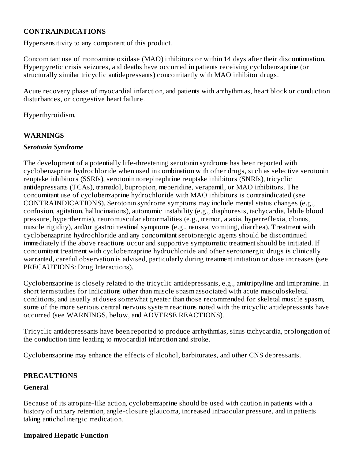### **CONTRAINDICATIONS**

Hypersensitivity to any component of this product.

Concomitant use of monoamine oxidase (MAO) inhibitors or within 14 days after their discontinuation. Hyperpyretic crisis seizures, and deaths have occurred in patients receiving cyclobenzaprine (or structurally similar tricyclic antidepressants) concomitantly with MAO inhibitor drugs.

Acute recovery phase of myocardial infarction, and patients with arrhythmias, heart block or conduction disturbances, or congestive heart failure.

Hyperthyroidism.

### **WARNINGS**

### *Serotonin Syndrome*

The development of a potentially life-threatening serotonin syndrome has been reported with cyclobenzaprine hydrochloride when used in combination with other drugs, such as selective serotonin reuptake inhibitors (SSRIs), serotonin norepinephrine reuptake inhibitors (SNRIs), tricyclic antidepressants (TCAs), tramadol, bupropion, meperidine, verapamil, or MAO inhibitors. The concomitant use of cyclobenzaprine hydrochloride with MAO inhibitors is contraindicated (see CONTRAINDICATIONS). Serotonin syndrome symptoms may include mental status changes (e.g., confusion, agitation, hallucinations), autonomic instability (e.g., diaphoresis, tachycardia, labile blood pressure, hyperthermia), neuromuscular abnormalities (e.g., tremor, ataxia, hyperreflexia, clonus, muscle rigidity), and/or gastrointestinal symptoms (e.g., nausea, vomiting, diarrhea). Treatment with cyclobenzaprine hydrochloride and any concomitant serotonergic agents should be discontinued immediately if the above reactions occur and supportive symptomatic treatment should be initiated. If concomitant treatment with cyclobenzaprine hydrochloride and other serotonergic drugs is clinically warranted, careful observation is advised, particularly during treatment initiation or dose increases (see PRECAUTIONS: Drug Interactions).

Cyclobenzaprine is closely related to the tricyclic antidepressants, e.g., amitriptyline and imipramine. In short term studies for indications other than muscle spasm associated with acute musculoskeletal conditions, and usually at doses somewhat greater than those recommended for skeletal muscle spasm, some of the more serious central nervous system reactions noted with the tricyclic antidepressants have occurred (see WARNINGS, below, and ADVERSE REACTIONS).

Tricyclic antidepressants have been reported to produce arrhythmias, sinus tachycardia, prolongation of the conduction time leading to myocardial infarction and stroke.

Cyclobenzaprine may enhance the effects of alcohol, barbiturates, and other CNS depressants.

### **PRECAUTIONS**

### **General**

Because of its atropine-like action, cyclobenzaprine should be used with caution in patients with a history of urinary retention, angle-closure glaucoma, increased intraocular pressure, and in patients taking anticholinergic medication.

### **Impaired Hepatic Function**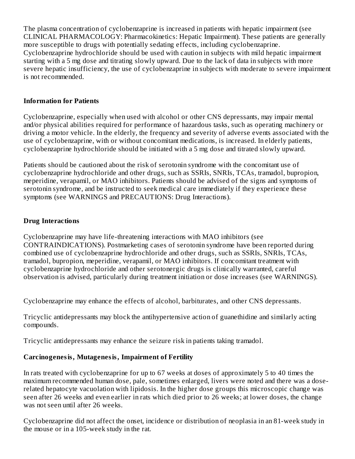The plasma concentration of cyclobenzaprine is increased in patients with hepatic impairment (see CLINICAL PHARMACOLOGY: Pharmacokinetics: Hepatic Impairment). These patients are generally more susceptible to drugs with potentially sedating effects, including cyclobenzaprine. Cyclobenzaprine hydrochloride should be used with caution in subjects with mild hepatic impairment starting with a 5 mg dose and titrating slowly upward. Due to the lack of data in subjects with more severe hepatic insufficiency, the use of cyclobenzaprine in subjects with moderate to severe impairment is not recommended.

### **Information for Patients**

Cyclobenzaprine, especially when used with alcohol or other CNS depressants, may impair mental and/or physical abilities required for performance of hazardous tasks, such as operating machinery or driving a motor vehicle. In the elderly, the frequency and severity of adverse events associated with the use of cyclobenzaprine, with or without concomitant medications, is increased. In elderly patients, cyclobenzaprine hydrochloride should be initiated with a 5 mg dose and titrated slowly upward.

Patients should be cautioned about the risk of serotonin syndrome with the concomitant use of cyclobenzaprine hydrochloride and other drugs, such as SSRIs, SNRIs, TCAs, tramadol, bupropion, meperidine, verapamil, or MAO inhibitors. Patients should be advised of the signs and symptoms of serotonin syndrome, and be instructed to seek medical care immediately if they experience these symptoms (see WARNINGS and PRECAUTIONS: Drug Interactions).

### **Drug Interactions**

Cyclobenzaprine may have life-threatening interactions with MAO inhibitors (see CONTRAINDICATIONS). Postmarketing cases of serotonin syndrome have been reported during combined use of cyclobenzaprine hydrochloride and other drugs, such as SSRIs, SNRIs, TCAs, tramadol, bupropion, meperidine, verapamil, or MAO inhibitors. If concomitant treatment with cyclobenzaprine hydrochloride and other serotonergic drugs is clinically warranted, careful observation is advised, particularly during treatment initiation or dose increases (see WARNINGS).

Cyclobenzaprine may enhance the effects of alcohol, barbiturates, and other CNS depressants.

Tricyclic antidepressants may block the antihypertensive action of guanethidine and similarly acting compounds.

Tricyclic antidepressants may enhance the seizure risk in patients taking tramadol.

### **Carcinogenesis, Mutagenesis, Impairment of Fertility**

In rats treated with cyclobenzaprine for up to 67 weeks at doses of approximately 5 to 40 times the maximum recommended human dose, pale, sometimes enlarged, livers were noted and there was a doserelated hepatocyte vacuolation with lipidosis. In the higher dose groups this microscopic change was seen after 26 weeks and even earlier in rats which died prior to 26 weeks; at lower doses, the change was not seen until after 26 weeks.

Cyclobenzaprine did not affect the onset, incidence or distribution of neoplasia in an 81-week study in the mouse or in a 105-week study in the rat.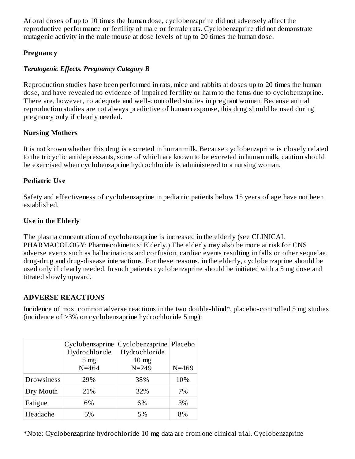At oral doses of up to 10 times the human dose, cyclobenzaprine did not adversely affect the reproductive performance or fertility of male or female rats. Cyclobenzaprine did not demonstrate mutagenic activity in the male mouse at dose levels of up to 20 times the human dose.

# **Pregnancy**

# *Teratogenic Effects. Pregnancy Category B*

Reproduction studies have been performed in rats, mice and rabbits at doses up to 20 times the human dose, and have revealed no evidence of impaired fertility or harm to the fetus due to cyclobenzaprine. There are, however, no adequate and well-controlled studies in pregnant women. Because animal reproduction studies are not always predictive of human response, this drug should be used during pregnancy only if clearly needed.

# **Nursing Mothers**

It is not known whether this drug is excreted in human milk. Because cyclobenzaprine is closely related to the tricyclic antidepressants, some of which are known to be excreted in human milk, caution should be exercised when cyclobenzaprine hydrochloride is administered to a nursing woman.

# **Pediatric Us e**

Safety and effectiveness of cyclobenzaprine in pediatric patients below 15 years of age have not been established.

# **Us e in the Elderly**

The plasma concentration of cyclobenzaprine is increased in the elderly (see CLINICAL PHARMACOLOGY: Pharmacokinetics: Elderly.) The elderly may also be more at risk for CNS adverse events such as hallucinations and confusion, cardiac events resulting in falls or other sequelae, drug-drug and drug-disease interactions. For these reasons, in the elderly, cyclobenzaprine should be used only if clearly needed. In such patients cyclobenzaprine should be initiated with a 5 mg dose and titrated slowly upward.

# **ADVERSE REACTIONS**

Incidence of most common adverse reactions in the two double-blind\*, placebo-controlled 5 mg studies (incidence of >3% on cyclobenzaprine hydrochloride 5 mg):

|            | Cyclobenzaprine | Cyclobenzaprine   Placebo |           |
|------------|-----------------|---------------------------|-----------|
|            | Hydrochloride   | Hydrochloride             |           |
|            | 5 <sub>mg</sub> | $10 \text{ mg}$           |           |
|            | $N = 464$       | $N = 249$                 | $N = 469$ |
| Drowsiness | 29%             | 38%                       | 10%       |
| Dry Mouth  | 21%             | 32%                       | 7%        |
| Fatigue    | 6%              | 6%                        | 3%        |
| Headache   | 5%              | 5%                        | 8%        |

\*Note: Cyclobenzaprine hydrochloride 10 mg data are from one clinical trial. Cyclobenzaprine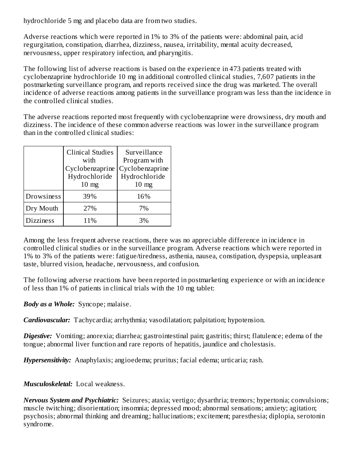hydrochloride 5 mg and placebo data are from two studies.

Adverse reactions which were reported in 1% to 3% of the patients were: abdominal pain, acid regurgitation, constipation, diarrhea, dizziness, nausea, irritability, mental acuity decreased, nervousness, upper respiratory infection, and pharyngitis.

The following list of adverse reactions is based on the experience in 473 patients treated with cyclobenzaprine hydrochloride 10 mg in additional controlled clinical studies, 7,607 patients in the postmarketing surveillance program, and reports received since the drug was marketed. The overall incidence of adverse reactions among patients in the surveillance program was less than the incidence in the controlled clinical studies.

The adverse reactions reported most frequently with cyclobenzaprine were drowsiness, dry mouth and dizziness. The incidence of these common adverse reactions was lower in the surveillance program than in the controlled clinical studies:

|                  | <b>Clinical Studies</b><br>with<br>Cyclobenzaprine<br>Hydrochloride<br>$10 \text{ mg}$ | Surveillance<br>Program with<br>Cyclobenzaprine<br>Hydrochloride<br>$10 \text{ mg}$ |
|------------------|----------------------------------------------------------------------------------------|-------------------------------------------------------------------------------------|
| Drowsiness       | 39%                                                                                    | 16%                                                                                 |
| Dry Mouth        | 27%                                                                                    | 7%                                                                                  |
| <b>Dizziness</b> | 11%                                                                                    | 3%                                                                                  |

Among the less frequent adverse reactions, there was no appreciable difference in incidence in controlled clinical studies or in the surveillance program. Adverse reactions which were reported in 1% to 3% of the patients were: fatigue/tiredness, asthenia, nausea, constipation, dyspepsia, unpleasant taste, blurred vision, headache, nervousness, and confusion.

The following adverse reactions have been reported in postmarketing experience or with an incidence of less than 1% of patients in clinical trials with the 10 mg tablet:

*Body as a Whole:* Syncope; malaise.

*Cardiovascular:* Tachycardia; arrhythmia; vasodilatation; palpitation; hypotension.

*Digestive:* Vomiting; anorexia; diarrhea; gastrointestinal pain; gastritis; thirst; flatulence; edema of the tongue; abnormal liver function and rare reports of hepatitis, jaundice and cholestasis.

*Hypersensitivity:* Anaphylaxis; angioedema; pruritus; facial edema; urticaria; rash.

*Musculoskeletal:* Local weakness.

*Nervous System and Psychiatric:* Seizures; ataxia; vertigo; dysarthria; tremors; hypertonia; convulsions; muscle twitching; disorientation; insomnia; depressed mood; abnormal sensations; anxiety; agitation; psychosis; abnormal thinking and dreaming; hallucinations; excitement; paresthesia; diplopia, serotonin syndrome.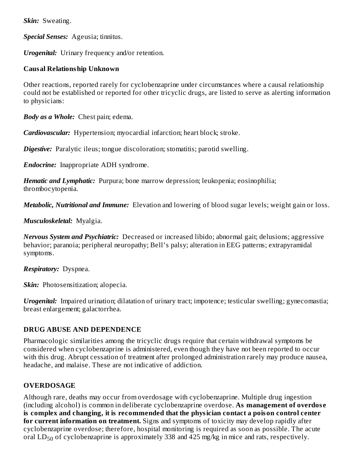*Skin:* Sweating.

*Special Senses:* Ageusia; tinnitus.

*Urogenital:* Urinary frequency and/or retention.

### **Causal Relationship Unknown**

Other reactions, reported rarely for cyclobenzaprine under circumstances where a causal relationship could not be established or reported for other tricyclic drugs, are listed to serve as alerting information to physicians:

*Body as a Whole:* Chest pain; edema.

*Cardiovascular:* Hypertension; myocardial infarction; heart block; stroke.

*Digestive:* Paralytic ileus; tongue discoloration; stomatitis; parotid swelling.

*Endocrine:* Inappropriate ADH syndrome.

*Hematic and Lymphatic:* Purpura; bone marrow depression; leukopenia; eosinophilia; thrombocytopenia.

*Metabolic, Nutritional and Immune:* Elevation and lowering of blood sugar levels; weight gain or loss.

*Musculoskeletal:* Myalgia.

*Nervous System and Psychiatric:* Decreased or increased libido; abnormal gait; delusions; aggressive behavior; paranoia; peripheral neuropathy; Bell's palsy; alteration in EEG patterns; extrapyramidal symptoms.

*Respiratory:* Dyspnea.

*Skin:* Photosensitization; alopecia.

*Urogenital:* Impaired urination; dilatation of urinary tract; impotence; testicular swelling; gynecomastia; breast enlargement; galactorrhea.

### **DRUG ABUSE AND DEPENDENCE**

Pharmacologic similarities among the tricyclic drugs require that certain withdrawal symptoms be considered when cyclobenzaprine is administered, even though they have not been reported to occur with this drug. Abrupt cessation of treatment after prolonged administration rarely may produce nausea, headache, and malaise. These are not indicative of addiction.

# **OVERDOSAGE**

Although rare, deaths may occur from overdosage with cyclobenzaprine. Multiple drug ingestion (including alcohol) is common in deliberate cyclobenzaprine overdose. **As management of overdos e is complex and changing, it is recommended that the physician contact a poison control center for current information on treatment.** Signs and symptoms of toxicity may develop rapidly after cyclobenzaprine overdose; therefore, hospital monitoring is required as soon as possible. The acute oral  $LD_{50}$  of cyclobenzaprine is approximately 338 and 425 mg/kg in mice and rats, respectively.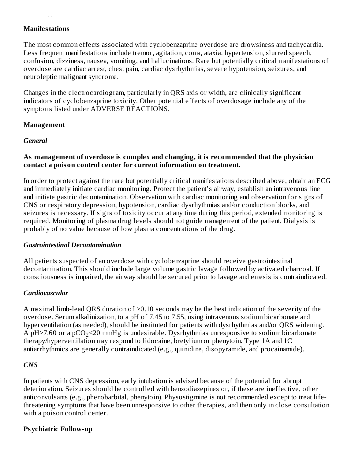### **Manifestations**

 $\overline{a}$ 

The most common effects associated with cyclobenzaprine overdose are drowsiness and tachycardia. Less frequent manifestations include tremor, agitation, coma, ataxia, hypertension, slurred speech, confusion, dizziness, nausea, vomiting, and hallucinations. Rare but potentially critical manifestations of overdose are cardiac arrest, chest pain, cardiac dysrhythmias, severe hypotension, seizures, and neuroleptic malignant syndrome.

Changes in the electrocardiogram, particularly in QRS axis or width, are clinically significant indicators of cyclobenzaprine toxicity. Other potential effects of overdosage include any of the symptoms listed under ADVERSE REACTIONS.

#### **Management**

#### *General*

### **As management of overdos e is complex and changing, it is recommended that the physician contact a poison control center for current information on treatment.**

In order to protect against the rare but potentially critical manifestations described above, obtain an ECG and immediately initiate cardiac monitoring. Protect the patient's airway, establish an intravenous line and initiate gastric decontamination. Observation with cardiac monitoring and observation for signs of CNS or respiratory depression, hypotension, cardiac dysrhythmias and/or conduction blocks, and seizures is necessary. If signs of toxicity occur at any time during this period, extended monitoring is required. Monitoring of plasma drug levels should not guide management of the patient. Dialysis is probably of no value because of low plasma concentrations of the drug.

#### *Gastrointestinal Decontamination*

All patients suspected of an overdose with cyclobenzaprine should receive gastrointestinal decontamination. This should include large volume gastric lavage followed by activated charcoal. If consciousness is impaired, the airway should be secured prior to lavage and emesis is contraindicated.

### *Cardiovascular*

A maximal limb-lead QRS duration of ≥0.10 seconds may be the best indication of the severity of the overdose. Serum alkalinization, to a pH of 7.45 to 7.55, using intravenous sodium bicarbonate and hyperventilation (as needed), should be instituted for patients with dysrhythmias and/or QRS widening. A pH>7.60 or a pCO $_2$ <20 mmHg is undesirable. Dysrhythmias unresponsive to sodium bicarbonate therapy/hyperventilation may respond to lidocaine, bretylium or phenytoin. Type 1A and 1C antiarrhythmics are generally contraindicated (e.g., quinidine, disopyramide, and procainamide).

### *CNS*

In patients with CNS depression, early intubation is advised because of the potential for abrupt deterioration. Seizures should be controlled with benzodiazepines or, if these are ineffective, other anticonvulsants (e.g., phenobarbital, phenytoin). Physostigmine is not recommended except to treat lifethreatening symptoms that have been unresponsive to other therapies, and then only in close consultation with a poison control center.

### **Psychiatric Follow-up**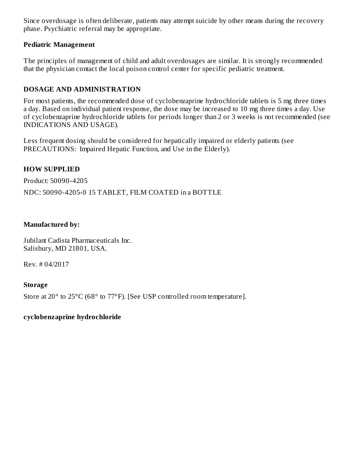Since overdosage is often deliberate, patients may attempt suicide by other means during the recovery phase. Psychiatric referral may be appropriate.

### **Pediatric Management**

The principles of management of child and adult overdosages are similar. It is strongly recommended that the physician contact the local poison control center for specific pediatric treatment.

### **DOSAGE AND ADMINISTRATION**

For most patients, the recommended dose of cyclobenzaprine hydrochloride tablets is 5 mg three times a day. Based on individual patient response, the dose may be increased to 10 mg three times a day. Use of cyclobenzaprine hydrochloride tablets for periods longer than 2 or 3 weeks is not recommended (see INDICATIONS AND USAGE).

Less frequent dosing should be considered for hepatically impaired or elderly patients (see PRECAUTIONS: Impaired Hepatic Function, and Use in the Elderly).

### **HOW SUPPLIED**

Product: 50090-4205

NDC: 50090-4205-0 15 TABLET, FILM COATED in a BOTTLE

### **Manufactured by:**

Jubilant Cadista Pharmaceuticals Inc. Salisbury, MD 21801, USA.

Rev. # 04/2017

### **Storage**

Store at 20° to 25°C (68° to 77°F). [See USP controlled room temperature].

### **cyclobenzaprine hydrochloride**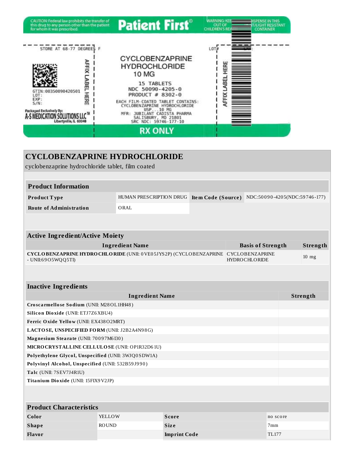

| <b>CYCLOBENZAPRINE HYDROCHLORIDE</b><br>cyclobenzaprine hydrochloride tablet, film coated                                         |                        |                                                                          |                          |          |  |
|-----------------------------------------------------------------------------------------------------------------------------------|------------------------|--------------------------------------------------------------------------|--------------------------|----------|--|
|                                                                                                                                   |                        |                                                                          |                          |          |  |
| <b>Product Information</b>                                                                                                        |                        |                                                                          |                          |          |  |
| Product Type                                                                                                                      |                        | HUMAN PRESCRIPTION DRUG Item Code (Source) NDC:50090-4205(NDC:59746-177) |                          |          |  |
| <b>Route of Administration</b>                                                                                                    | ORAL                   |                                                                          |                          |          |  |
|                                                                                                                                   |                        |                                                                          |                          |          |  |
| <b>Active Ingredient/Active Moiety</b>                                                                                            |                        |                                                                          |                          |          |  |
|                                                                                                                                   | <b>Ingredient Name</b> |                                                                          | <b>Basis of Strength</b> | Strength |  |
| CYCLOBENZAPRINE HYDROCHLORIDE (UNII: 0VE05JYS2P) (CYCLOBENZAPRINE CYCLOBENZAPRINE<br><b>HYDROCHLORIDE</b><br>$-$ UNII:6905WQQ5TI) |                        |                                                                          | $10$ mg                  |          |  |
|                                                                                                                                   |                        |                                                                          |                          |          |  |
| <b>Inactive Ingredients</b>                                                                                                       |                        |                                                                          |                          |          |  |
|                                                                                                                                   | <b>Ingredient Name</b> |                                                                          |                          | Strength |  |
| Croscarmellose Sodium (UNII: M28OL1HH48)                                                                                          |                        |                                                                          |                          |          |  |
| Silicon Dioxide (UNII: ETJ7Z6XBU4)                                                                                                |                        |                                                                          |                          |          |  |
| Ferric Oxide Yellow (UNII: EX438O2MRT)                                                                                            |                        |                                                                          |                          |          |  |
| LACTOSE, UNSPECIFIED FORM (UNII: J2B2A4N98G)                                                                                      |                        |                                                                          |                          |          |  |
| Magnesium Stearate (UNII: 70097M6I30)                                                                                             |                        |                                                                          |                          |          |  |
| MICRO CRYSTALLINE CELLULO SE (UNII: OP1R32D61U)                                                                                   |                        |                                                                          |                          |          |  |
| Polyethylene Glycol, Unspecified (UNII: 3WJQ0SDW1A)                                                                               |                        |                                                                          |                          |          |  |
| Polyvinyl Alcohol, Unspecified (UNII: 532B59J990)                                                                                 |                        |                                                                          |                          |          |  |
| Talc (UNII: 7SEV7J4R1U)                                                                                                           |                        |                                                                          |                          |          |  |
| Titanium Dioxide (UNII: 15FIX9V2JP)                                                                                               |                        |                                                                          |                          |          |  |
|                                                                                                                                   |                        |                                                                          |                          |          |  |
| <b>Product Characteristics</b>                                                                                                    |                        |                                                                          |                          |          |  |
| Color                                                                                                                             | YELLOW                 | <b>Score</b>                                                             |                          | no score |  |
| <b>Shape</b>                                                                                                                      | <b>ROUND</b>           | <b>Size</b>                                                              |                          | 7mm      |  |
| <b>Flavor</b>                                                                                                                     |                        | <b>Imprint Code</b>                                                      |                          | TL177    |  |